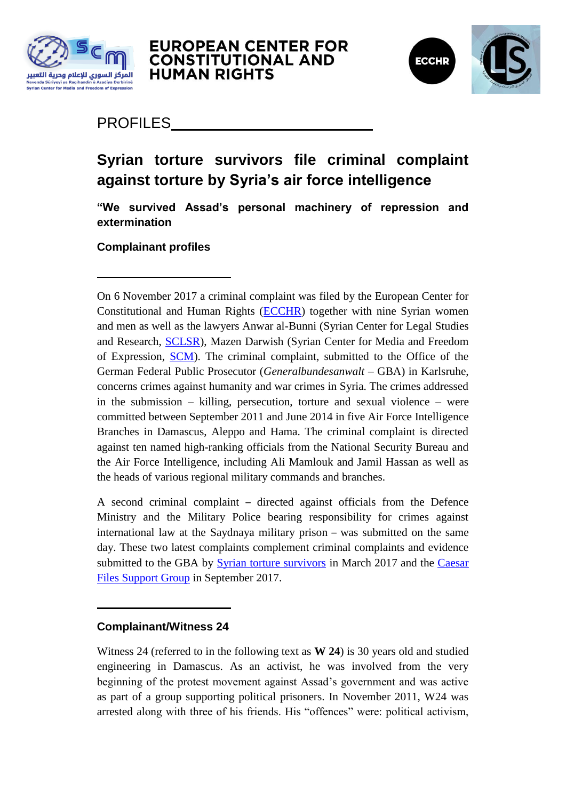



## PROFILES

# **Syrian torture survivors file criminal complaint against torture by Syria's air force intelligence**

**"We survived Assad's personal machinery of repression and extermination**

**Complainant profiles** 

On 6 November 2017 a criminal complaint was filed by the European Center for Constitutional and Human Rights [\(ECCHR\)](https://www.ecchr.eu/en/home.html) together with nine Syrian women and men as well as the lawyers Anwar al-Bunni (Syrian Center for Legal Studies and Research, [SCLSR\)](http://www.sl-center.org/?language=english), Mazen Darwish (Syrian Center for Media and Freedom of Expression, [SCM\)](https://scm.bz/en/). The criminal complaint, submitted to the Office of the German Federal Public Prosecutor (*Generalbundesanwalt* – GBA) in Karlsruhe, concerns crimes against humanity and war crimes in Syria. The crimes addressed in the submission – killing, persecution, torture and sexual violence – were committed between September 2011 and June 2014 in five Air Force Intelligence Branches in Damascus, Aleppo and Hama. The criminal complaint is directed against ten named high-ranking officials from the National Security Bureau and the Air Force Intelligence, including Ali Mamlouk and Jamil Hassan as well as the heads of various regional military commands and branches.

A second criminal complaint – directed against officials from the Defence Ministry and the Military Police bearing responsibility for crimes against international law at the Saydnaya military prison – was submitted on the same day. These two latest complaints complement criminal complaints and evidence submitted to the GBA by [Syrian torture survivors](https://www.ecchr.eu/en/international-crimes-and-accountability/syria/torture-under-assad.html) in March 2017 and the [Caesar](https://www.ecchr.eu/en/international-crimes-and-accountability/syria/the-caesar-files.html)  [Files Support Group](https://www.ecchr.eu/en/international-crimes-and-accountability/syria/the-caesar-files.html) in September 2017.

#### **Complainant/Witness 24**

Witness 24 (referred to in the following text as **W 24**) is 30 years old and studied engineering in Damascus. As an activist, he was involved from the very beginning of the protest movement against Assad"s government and was active as part of a group supporting political prisoners. In November 2011, W24 was arrested along with three of his friends. His "offences" were: political activism,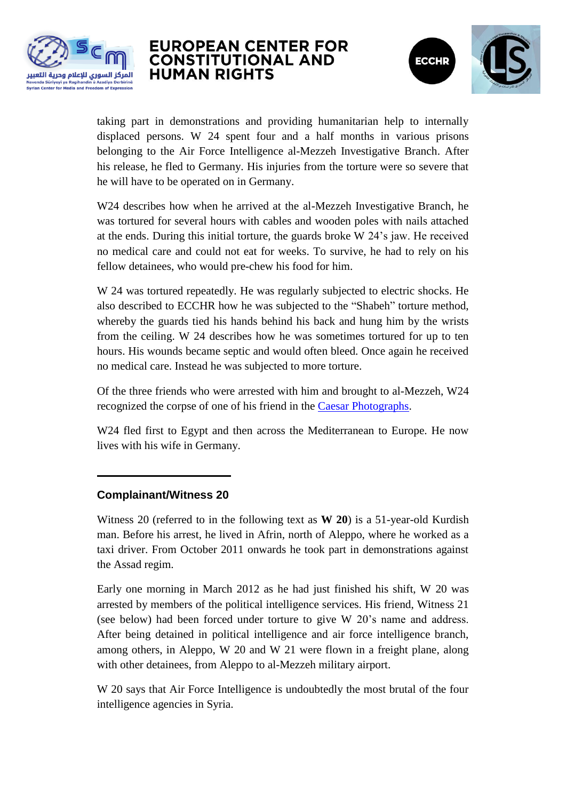



taking part in demonstrations and providing humanitarian help to internally displaced persons. W 24 spent four and a half months in various prisons belonging to the Air Force Intelligence al-Mezzeh Investigative Branch. After his release, he fled to Germany. His injuries from the torture were so severe that he will have to be operated on in Germany.

W24 describes how when he arrived at the al-Mezzeh Investigative Branch, he was tortured for several hours with cables and wooden poles with nails attached at the ends. During this initial torture, the guards broke W 24"s jaw. He received no medical care and could not eat for weeks. To survive, he had to rely on his fellow detainees, who would pre-chew his food for him.

W 24 was tortured repeatedly. He was regularly subjected to electric shocks. He also described to ECCHR how he was subjected to the "Shabeh" torture method, whereby the guards tied his hands behind his back and hung him by the wrists from the ceiling. W 24 describes how he was sometimes tortured for up to ten hours. His wounds became septic and would often bleed. Once again he received no medical care. Instead he was subjected to more torture.

Of the three friends who were arrested with him and brought to al-Mezzeh, W24 recognized the corpse of one of his friend in the [Caesar Photographs.](https://www.ecchr.eu/en/international-crimes-and-accountability/syria/the-caesar-files.html)

W24 fled first to Egypt and then across the Mediterranean to Europe. He now lives with his wife in Germany.

#### **Complainant/Witness 20**

Witness 20 (referred to in the following text as **W 20**) is a 51-year-old Kurdish man. Before his arrest, he lived in Afrin, north of Aleppo, where he worked as a taxi driver. From October 2011 onwards he took part in demonstrations against the Assad regim.

Early one morning in March 2012 as he had just finished his shift, W 20 was arrested by members of the political intelligence services. His friend, Witness 21 (see below) had been forced under torture to give W 20"s name and address. After being detained in political intelligence and air force intelligence branch, among others, in Aleppo, W 20 and W 21 were flown in a freight plane, along with other detainees, from Aleppo to al-Mezzeh military airport.

W 20 says that Air Force Intelligence is undoubtedly the most brutal of the four intelligence agencies in Syria.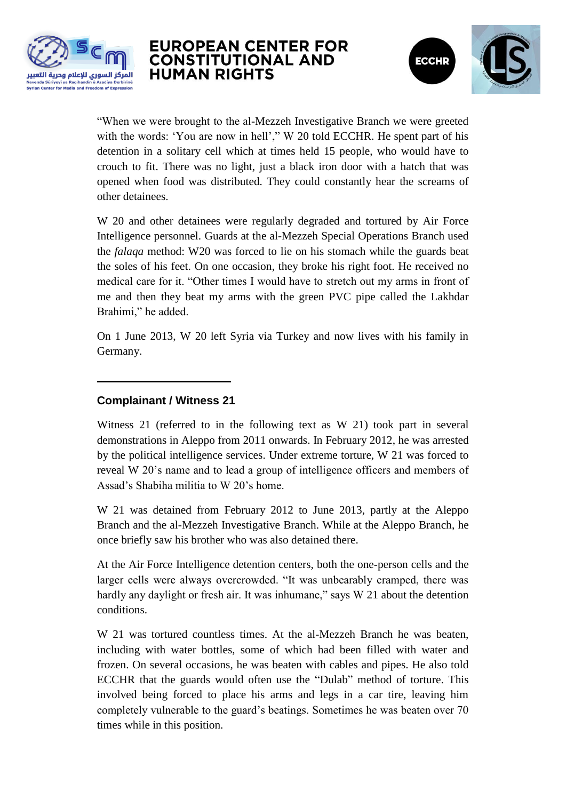



"When we were brought to the al-Mezzeh Investigative Branch we were greeted with the words: 'You are now in hell'," W 20 told ECCHR. He spent part of his detention in a solitary cell which at times held 15 people, who would have to crouch to fit. There was no light, just a black iron door with a hatch that was opened when food was distributed. They could constantly hear the screams of other detainees.

W 20 and other detainees were regularly degraded and tortured by Air Force Intelligence personnel. Guards at the al-Mezzeh Special Operations Branch used the *falaqa* method: W20 was forced to lie on his stomach while the guards beat the soles of his feet. On one occasion, they broke his right foot. He received no medical care for it. "Other times I would have to stretch out my arms in front of me and then they beat my arms with the green PVC pipe called the Lakhdar Brahimi," he added.

On 1 June 2013, W 20 left Syria via Turkey and now lives with his family in Germany.

#### **Complainant / Witness 21**

Witness 21 (referred to in the following text as W 21) took part in several demonstrations in Aleppo from 2011 onwards. In February 2012, he was arrested by the political intelligence services. Under extreme torture, W 21 was forced to reveal W 20"s name and to lead a group of intelligence officers and members of Assad"s Shabiha militia to W 20"s home.

W 21 was detained from February 2012 to June 2013, partly at the Aleppo Branch and the al-Mezzeh Investigative Branch. While at the Aleppo Branch, he once briefly saw his brother who was also detained there.

At the Air Force Intelligence detention centers, both the one-person cells and the larger cells were always overcrowded. "It was unbearably cramped, there was hardly any daylight or fresh air. It was inhumane," says W 21 about the detention conditions.

W 21 was tortured countless times. At the al-Mezzeh Branch he was beaten, including with water bottles, some of which had been filled with water and frozen. On several occasions, he was beaten with cables and pipes. He also told ECCHR that the guards would often use the "Dulab" method of torture. This involved being forced to place his arms and legs in a car tire, leaving him completely vulnerable to the guard"s beatings. Sometimes he was beaten over 70 times while in this position.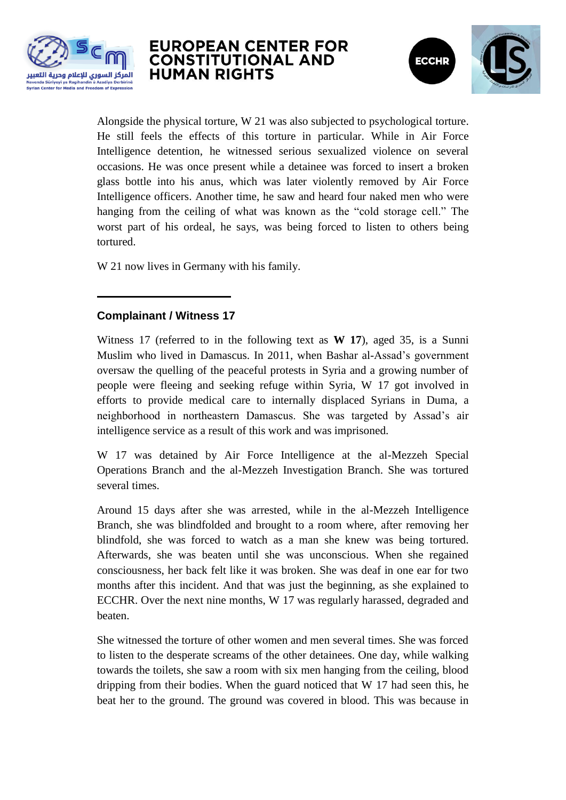



Alongside the physical torture, W 21 was also subjected to psychological torture. He still feels the effects of this torture in particular. While in Air Force Intelligence detention, he witnessed serious sexualized violence on several occasions. He was once present while a detainee was forced to insert a broken glass bottle into his anus, which was later violently removed by Air Force Intelligence officers. Another time, he saw and heard four naked men who were hanging from the ceiling of what was known as the "cold storage cell." The worst part of his ordeal, he says, was being forced to listen to others being tortured.

W 21 now lives in Germany with his family.

#### **Complainant / Witness 17**

Witness 17 (referred to in the following text as **W 17**), aged 35, is a Sunni Muslim who lived in Damascus. In 2011, when Bashar al-Assad"s government oversaw the quelling of the peaceful protests in Syria and a growing number of people were fleeing and seeking refuge within Syria, W 17 got involved in efforts to provide medical care to internally displaced Syrians in Duma, a neighborhood in northeastern Damascus. She was targeted by Assad"s air intelligence service as a result of this work and was imprisoned.

W 17 was detained by Air Force Intelligence at the al-Mezzeh Special Operations Branch and the al-Mezzeh Investigation Branch. She was tortured several times.

Around 15 days after she was arrested, while in the al-Mezzeh Intelligence Branch, she was blindfolded and brought to a room where, after removing her blindfold, she was forced to watch as a man she knew was being tortured. Afterwards, she was beaten until she was unconscious. When she regained consciousness, her back felt like it was broken. She was deaf in one ear for two months after this incident. And that was just the beginning, as she explained to ECCHR. Over the next nine months, W 17 was regularly harassed, degraded and beaten.

She witnessed the torture of other women and men several times. She was forced to listen to the desperate screams of the other detainees. One day, while walking towards the toilets, she saw a room with six men hanging from the ceiling, blood dripping from their bodies. When the guard noticed that W 17 had seen this, he beat her to the ground. The ground was covered in blood. This was because in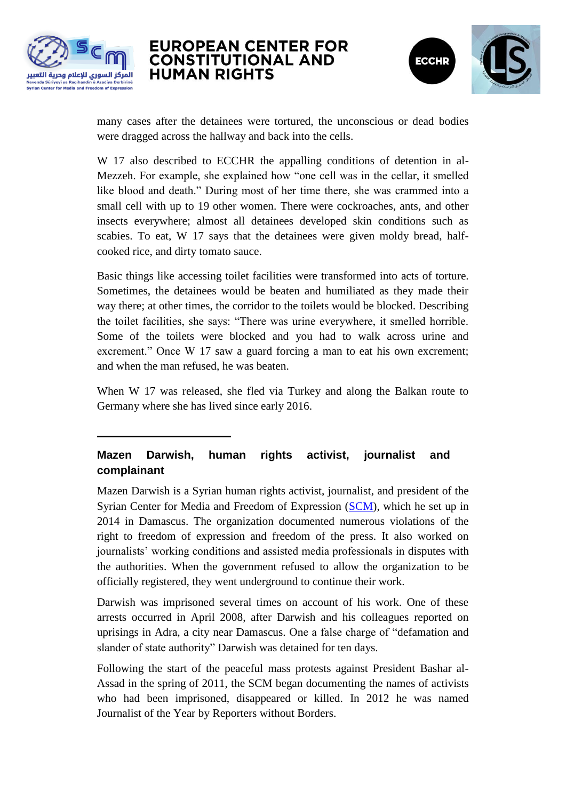



many cases after the detainees were tortured, the unconscious or dead bodies were dragged across the hallway and back into the cells.

W 17 also described to ECCHR the appalling conditions of detention in al-Mezzeh. For example, she explained how "one cell was in the cellar, it smelled like blood and death." During most of her time there, she was crammed into a small cell with up to 19 other women. There were cockroaches, ants, and other insects everywhere; almost all detainees developed skin conditions such as scabies. To eat, W 17 says that the detainees were given moldy bread, halfcooked rice, and dirty tomato sauce.

Basic things like accessing toilet facilities were transformed into acts of torture. Sometimes, the detainees would be beaten and humiliated as they made their way there; at other times, the corridor to the toilets would be blocked. Describing the toilet facilities, she says: "There was urine everywhere, it smelled horrible. Some of the toilets were blocked and you had to walk across urine and excrement." Once W 17 saw a guard forcing a man to eat his own excrement; and when the man refused, he was beaten.

When W 17 was released, she fled via Turkey and along the Balkan route to Germany where she has lived since early 2016.

#### **Mazen Darwish, human rights activist, journalist and complainant**

Mazen Darwish is a Syrian human rights activist, journalist, and president of the Syrian Center for Media and Freedom of Expression [\(SCM\)](https://scm.bz/en/), which he set up in 2014 in Damascus. The organization documented numerous violations of the right to freedom of expression and freedom of the press. It also worked on journalists" working conditions and assisted media professionals in disputes with the authorities. When the government refused to allow the organization to be officially registered, they went underground to continue their work.

Darwish was imprisoned several times on account of his work. One of these arrests occurred in April 2008, after Darwish and his colleagues reported on uprisings in Adra, a city near Damascus. One a false charge of "defamation and slander of state authority" Darwish was detained for ten days.

Following the start of the peaceful mass protests against President Bashar al-Assad in the spring of 2011, the SCM began documenting the names of activists who had been imprisoned, disappeared or killed. In 2012 he was named Journalist of the Year by Reporters without Borders.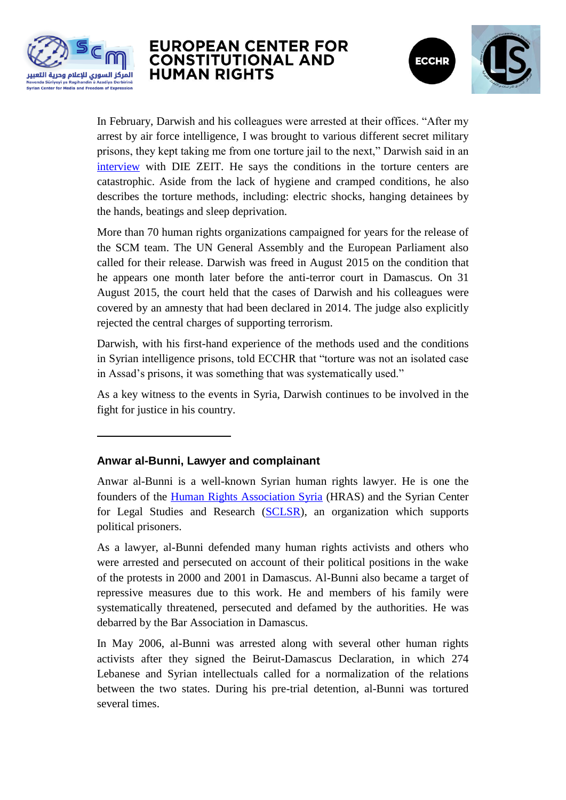



In February, Darwish and his colleagues were arrested at their offices. "After my arrest by air force intelligence, I was brought to various different secret military prisons, they kept taking me from one torture jail to the next," Darwish said in an [interview](http://www.zeit.de/politik/ausland/2017-02/syrien-amnesty-international-gefaengnisse-hinrichtungen-folter-mazen-darwish) with DIE ZEIT. He says the conditions in the torture centers are catastrophic. Aside from the lack of hygiene and cramped conditions, he also describes the torture methods, including: electric shocks, hanging detainees by the hands, beatings and sleep deprivation.

More than 70 human rights organizations campaigned for years for the release of the SCM team. The UN General Assembly and the European Parliament also called for their release. Darwish was freed in August 2015 on the condition that he appears one month later before the anti-terror court in Damascus. On 31 August 2015, the court held that the cases of Darwish and his colleagues were covered by an amnesty that had been declared in 2014. The judge also explicitly rejected the central charges of supporting terrorism.

Darwish, with his first-hand experience of the methods used and the conditions in Syrian intelligence prisons, told ECCHR that "torture was not an isolated case in Assad's prisons, it was something that was systematically used."

As a key witness to the events in Syria, Darwish continues to be involved in the fight for justice in his country.

#### **Anwar al-Bunni, Lawyer and complainant**

Anwar al-Bunni is a well-known Syrian human rights lawyer. He is one the founders of the [Human Rights Association Syria](http://www.hras-sy.org/) (HRAS) and the Syrian Center for Legal Studies and Research [\(SCLSR\)](http://www.sl-center.org/?language=english), an organization which supports political prisoners.

As a lawyer, al-Bunni defended many human rights activists and others who were arrested and persecuted on account of their political positions in the wake of the protests in 2000 and 2001 in Damascus. Al-Bunni also became a target of repressive measures due to this work. He and members of his family were systematically threatened, persecuted and defamed by the authorities. He was debarred by the Bar Association in Damascus.

In May 2006, al-Bunni was arrested along with several other human rights activists after they signed the Beirut-Damascus Declaration, in which 274 Lebanese and Syrian intellectuals called for a normalization of the relations between the two states. During his pre-trial detention, al-Bunni was tortured several times.